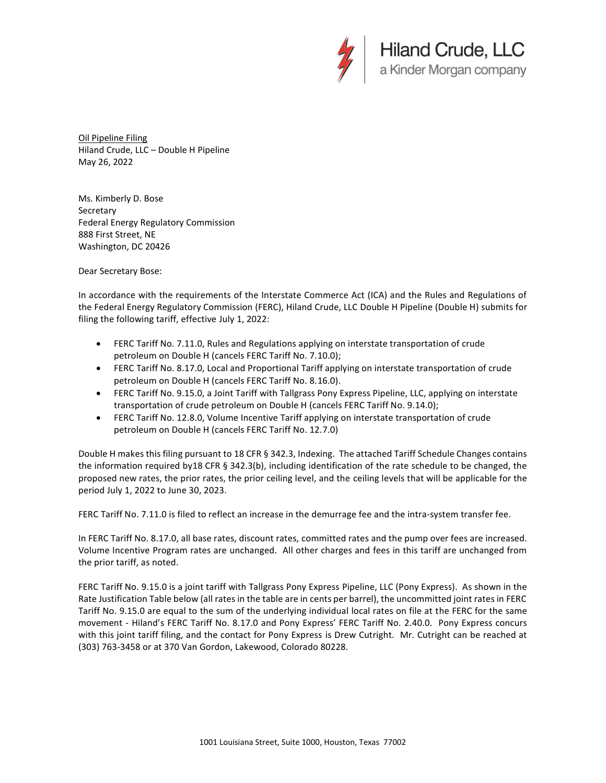

Oil Pipeline Filing Hiland Crude, LLC – Double H Pipeline May 26, 2022

Ms. Kimberly D. Bose **Secretary** Federal Energy Regulatory Commission 888 First Street, NE Washington, DC 20426

Dear Secretary Bose:

In accordance with the requirements of the Interstate Commerce Act (ICA) and the Rules and Regulations of the Federal Energy Regulatory Commission (FERC), Hiland Crude, LLC Double H Pipeline (Double H) submits for filing the following tariff, effective July 1, 2022:

- FERC Tariff No. 7.11.0, Rules and Regulations applying on interstate transportation of crude petroleum on Double H (cancels FERC Tariff No. 7.10.0);
- FERC Tariff No. 8.17.0, Local and Proportional Tariff applying on interstate transportation of crude petroleum on Double H (cancels FERC Tariff No. 8.16.0).
- FERC Tariff No. 9.15.0, a Joint Tariff with Tallgrass Pony Express Pipeline, LLC, applying on interstate transportation of crude petroleum on Double H (cancels FERC Tariff No. 9.14.0);
- FERC Tariff No. 12.8.0, Volume Incentive Tariff applying on interstate transportation of crude petroleum on Double H (cancels FERC Tariff No. 12.7.0)

Double H makes this filing pursuant to 18 CFR § 342.3, Indexing. The attached Tariff Schedule Changes contains the information required by18 CFR § 342.3(b), including identification of the rate schedule to be changed, the proposed new rates, the prior rates, the prior ceiling level, and the ceiling levels that will be applicable for the period July 1, 2022 to June 30, 2023.

FERC Tariff No. 7.11.0 is filed to reflect an increase in the demurrage fee and the intra-system transfer fee.

In FERC Tariff No. 8.17.0, all base rates, discount rates, committed rates and the pump over fees are increased. Volume Incentive Program rates are unchanged. All other charges and fees in this tariff are unchanged from the prior tariff, as noted.

FERC Tariff No. 9.15.0 is a joint tariff with Tallgrass Pony Express Pipeline, LLC (Pony Express). As shown in the Rate Justification Table below (all rates in the table are in cents per barrel), the uncommitted joint rates in FERC Tariff No. 9.15.0 are equal to the sum of the underlying individual local rates on file at the FERC for the same movement - Hiland's FERC Tariff No. 8.17.0 and Pony Express' FERC Tariff No. 2.40.0. Pony Express concurs with this joint tariff filing, and the contact for Pony Express is Drew Cutright. Mr. Cutright can be reached at (303) 763-3458 or at 370 Van Gordon, Lakewood, Colorado 80228.